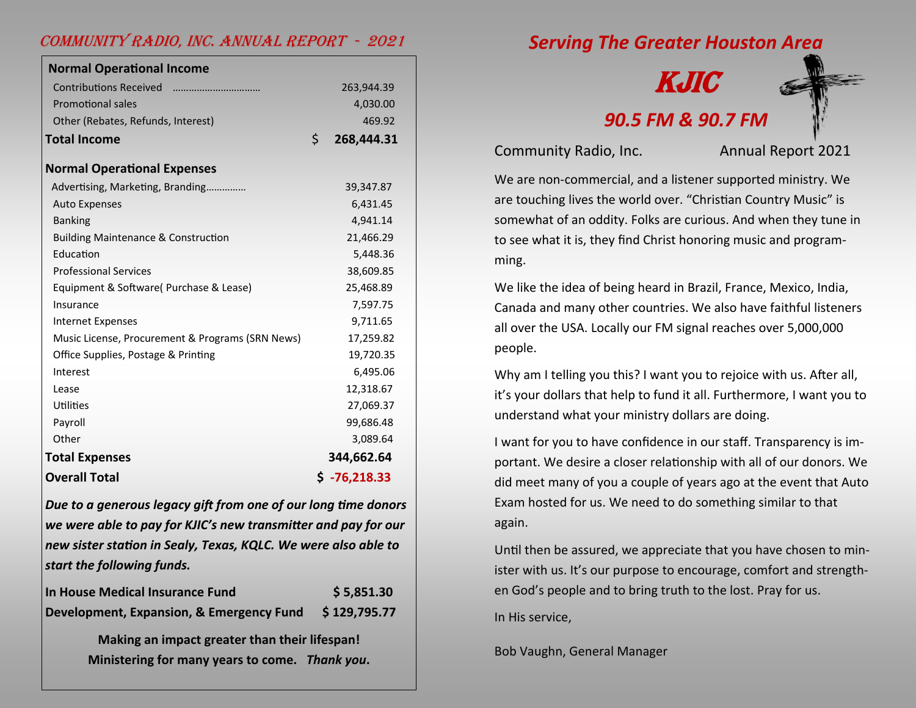#### Community Radio, Inc. Annual Report - 2021

| <b>Normal Operational Income</b>                 |                  |
|--------------------------------------------------|------------------|
| <b>Contributions Received</b>                    | 263,944.39       |
| <b>Promotional sales</b>                         | 4,030.00         |
| Other (Rebates, Refunds, Interest)               | 469.92           |
| <b>Total Income</b>                              | Ś.<br>268,444.31 |
|                                                  |                  |
| <b>Normal Operational Expenses</b>               |                  |
| Advertising, Marketing, Branding                 | 39,347.87        |
| <b>Auto Expenses</b>                             | 6,431.45         |
| <b>Banking</b>                                   | 4,941.14         |
| <b>Building Maintenance &amp; Construction</b>   | 21,466.29        |
| Education                                        | 5,448.36         |
| <b>Professional Services</b>                     | 38,609.85        |
| Equipment & Software (Purchase & Lease)          | 25,468.89        |
| Insurance                                        | 7,597.75         |
| <b>Internet Expenses</b>                         | 9,711.65         |
| Music License, Procurement & Programs (SRN News) | 17,259.82        |
| Office Supplies, Postage & Printing              | 19,720.35        |
| Interest                                         | 6,495.06         |
| Lease                                            | 12,318.67        |
| Utilities                                        | 27,069.37        |
| Payroll                                          | 99,686.48        |
| Other                                            | 3,089.64         |
| <b>Total Expenses</b>                            | 344,662.64       |
| <b>Overall Total</b>                             | $$ -76,218.33$   |
|                                                  |                  |

*Due to a generous legacy gift from one of our long time donors we were able to pay for KJIC's new transmitter and pay for our new sister station in Sealy, Texas, KQLC. We were also able to start the following funds.*

| In House Medical Insurance Fund          | \$5,851.30   |
|------------------------------------------|--------------|
| Development, Expansion, & Emergency Fund | \$129,795.77 |

**Making an impact greater than their lifespan! Ministering for many years to come.** *Thank you***.**  *Serving The Greater Houston Area*

# KJIC *90.5 FM & 90.7 FM*

Community Radio, Inc. Annual Report 2021

We are non-commercial, and a listener supported ministry. We are touching lives the world over. "Christian Country Music" is somewhat of an oddity. Folks are curious. And when they tune in to see what it is, they find Christ honoring music and programming.

We like the idea of being heard in Brazil, France, Mexico, India, Canada and many other countries. We also have faithful listeners all over the USA. Locally our FM signal reaches over 5,000,000 people.

Why am I telling you this? I want you to rejoice with us. After all, it's your dollars that help to fund it all. Furthermore, I want you to understand what your ministry dollars are doing.

I want for you to have confidence in our staff. Transparency is important. We desire a closer relationship with all of our donors. We did meet many of you a couple of years ago at the event that Auto Exam hosted for us. We need to do something similar to that again.

Until then be assured, we appreciate that you have chosen to minister with us. It's our purpose to encourage, comfort and strengthen God's people and to bring truth to the lost. Pray for us.

In His service,

Bob Vaughn, General Manager